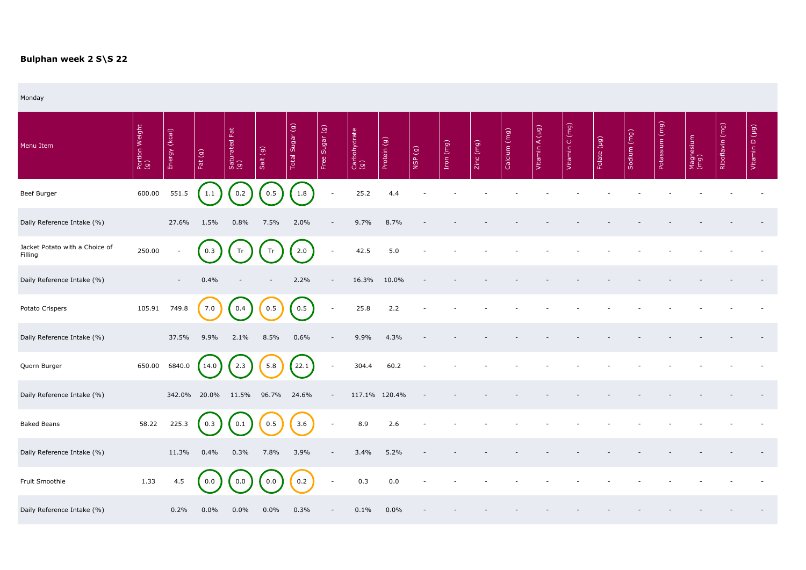## **Bulphan week 2 S\S 22**

Monday

| Menu Item                                 | Portion Weight<br>(g) | (kcal)<br>Energy         | Fat(g)  | Fat<br>Saturated I<br>(g) | Salt (g) | Total Sugar (g) | Free Sugar (g)           | Carbohydrate<br>(g) | Protein (g)   | NSP(9) | Iron (mg) | Zinc (mg) | Calcium (mg) | Vitamin A (µg) | Vitamin C (mg) | $(\overline{6}n)$<br>Folate | Sodium (mg) | (mg)<br>Potassium | Magnesium<br>(mg) | (mq)<br>Riboflavin | $\boxed{9}$<br>$\Box$<br>Vitamin I |
|-------------------------------------------|-----------------------|--------------------------|---------|---------------------------|----------|-----------------|--------------------------|---------------------|---------------|--------|-----------|-----------|--------------|----------------|----------------|-----------------------------|-------------|-------------------|-------------------|--------------------|------------------------------------|
| Beef Burger                               | 600.00                | 551.5                    | 1.1     | 0.2                       | 0.5      | 1.8             | $\overline{\phantom{a}}$ | 25.2                | 4.4           |        |           |           |              |                |                |                             |             |                   |                   |                    |                                    |
| Daily Reference Intake (%)                |                       | 27.6%                    | 1.5%    | 0.8%                      | 7.5%     | 2.0%            | $\overline{\phantom{a}}$ | 9.7%                | 8.7%          |        |           |           |              |                |                |                             |             |                   |                   |                    |                                    |
| Jacket Potato with a Choice of<br>Filling | 250.00                | $\overline{\phantom{a}}$ | 0.3     | Tr                        | Tr       | 2.0             | $\overline{\phantom{a}}$ | 42.5                | 5.0           |        |           |           |              |                |                |                             |             |                   |                   |                    |                                    |
| Daily Reference Intake (%)                |                       | $\sim$                   | 0.4%    |                           |          | 2.2%            | $\overline{\phantom{a}}$ | 16.3%               | 10.0%         |        |           |           |              |                |                |                             |             |                   |                   |                    |                                    |
| Potato Crispers                           | 105.91                | 749.8                    | 7.0     | 0.4                       | 0.5      | 0.5             | $\overline{\phantom{a}}$ | 25.8                | 2.2           |        |           |           |              |                |                |                             |             |                   |                   |                    |                                    |
| Daily Reference Intake (%)                |                       | 37.5%                    | 9.9%    | 2.1%                      | 8.5%     | 0.6%            |                          | 9.9%                | 4.3%          |        |           |           |              |                |                |                             |             |                   |                   |                    |                                    |
| Quorn Burger                              | 650.00                | 6840.0                   | 14.0    | 2.3                       | 5.8      | 22.1            | $\overline{\phantom{a}}$ | 304.4               | 60.2          |        |           |           |              |                |                |                             |             |                   |                   |                    |                                    |
| Daily Reference Intake (%)                |                       | 342.0% 20.0%             |         | 11.5%                     | 96.7%    | 24.6%           |                          |                     | 117.1% 120.4% |        |           |           |              |                |                |                             |             |                   |                   |                    |                                    |
| <b>Baked Beans</b>                        | 58.22                 | 225.3                    | 0.3     | 0.1                       | 0.5      | 3.6             | $\overline{\phantom{a}}$ | 8.9                 | 2.6           |        |           |           |              |                |                |                             |             |                   |                   |                    |                                    |
| Daily Reference Intake (%)                |                       | 11.3%                    | 0.4%    | 0.3%                      | 7.8%     | 3.9%            | $\overline{\phantom{a}}$ | 3.4%                | 5.2%          |        |           |           |              |                |                |                             |             |                   |                   |                    |                                    |
| Fruit Smoothie                            | 1.33                  | 4.5                      | 0.0     | 0.0                       | 0.0      | 0.2             | $\overline{\phantom{a}}$ | 0.3                 | 0.0           |        |           |           |              |                |                |                             |             |                   |                   |                    |                                    |
| Daily Reference Intake (%)                |                       | 0.2%                     | $0.0\%$ | $0.0\%$                   | $0.0\%$  | 0.3%            |                          | 0.1%                | $0.0\%$       |        |           |           |              |                |                |                             |             |                   |                   |                    |                                    |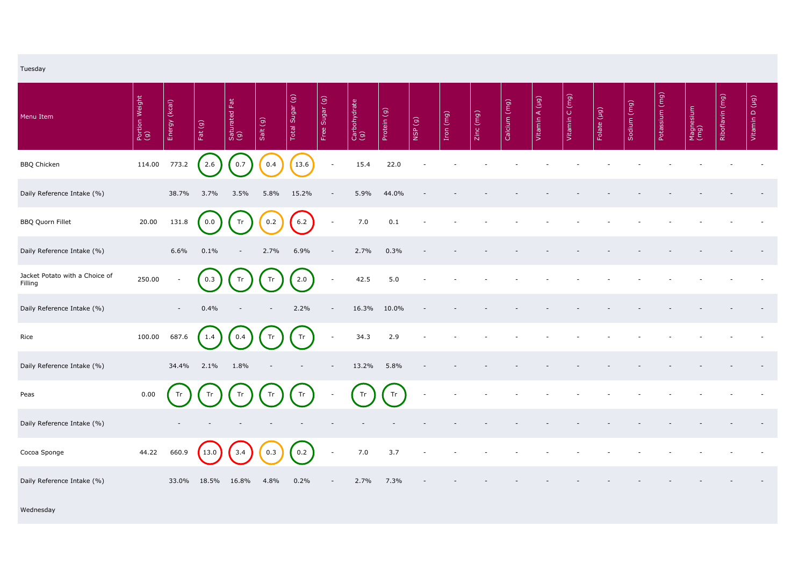| Tuesday                                   |                       |               |            |                           |          |                       |                          |                     |             |                          |           |             |              |                |                |             |             |                |                   |                 |                |
|-------------------------------------------|-----------------------|---------------|------------|---------------------------|----------|-----------------------|--------------------------|---------------------|-------------|--------------------------|-----------|-------------|--------------|----------------|----------------|-------------|-------------|----------------|-------------------|-----------------|----------------|
| Menu Item                                 | Portion Weight<br>(g) | Energy (kcal) | Fat $(g)$  | Eat<br>Saturated I<br>(g) | Salt (g) | Total Sugar (g)       | Free Sugar (g)           | Carbohydrate<br>(g) | Protein (g) | NSP (g)                  | Iron (mg) | $Zinc$ (mg) | Calcium (mg) | Vitamin A (µg) | Vitamin C (mg) | Folate (µg) | Sodium (mg) | Potassium (mg) | Magnesium<br>(mg) | Riboflavin (mg) | Vitamin D (µg) |
| <b>BBQ Chicken</b>                        | 114.00                | 773.2         | 2.6        | 0.7                       | 0.4      | $\left( 13.6 \right)$ | $\overline{\phantom{a}}$ | 15.4                | 22.0        |                          |           |             |              |                |                |             |             |                |                   |                 |                |
| Daily Reference Intake (%)                |                       | 38.7%         | 3.7%       | 3.5%                      | 5.8%     | 15.2%                 | $\overline{\phantom{a}}$ | 5.9%                | 44.0%       |                          |           |             |              |                |                |             |             |                |                   |                 |                |
| <b>BBQ Quorn Fillet</b>                   | 20.00                 | 131.8         | 0.0        | Tr                        | 0.2      | 6.2                   | $\overline{\phantom{a}}$ | 7.0                 | 0.1         |                          |           |             |              |                |                |             |             |                |                   |                 |                |
| Daily Reference Intake (%)                |                       | 6.6%          | 0.1%       |                           | 2.7%     | 6.9%                  |                          | 2.7%                | 0.3%        |                          |           |             |              |                |                |             |             |                |                   |                 |                |
| Jacket Potato with a Choice of<br>Filling | 250.00                | $\sim$        | 0.3        | Tr                        | Tr       | 2.0                   | $\overline{\phantom{a}}$ | 42.5                | 5.0         |                          |           |             |              |                |                |             |             |                |                   |                 |                |
| Daily Reference Intake (%)                |                       | $\sim$        | 0.4%       |                           |          | 2.2%                  |                          | 16.3%               | 10.0%       |                          |           |             |              |                |                |             |             |                |                   |                 |                |
| Rice                                      | 100.00                | 687.6         | 1.4        | 0.4                       | Tr       | Tr                    | $\overline{\phantom{a}}$ | 34.3                | 2.9         |                          |           |             |              |                |                |             |             |                |                   |                 |                |
| Daily Reference Intake (%)                |                       |               | 34.4% 2.1% | 1.8%                      |          |                       | $\overline{\phantom{a}}$ | 13.2%               | 5.8%        |                          |           |             |              |                |                |             |             |                |                   |                 |                |
| Peas                                      | 0.00                  | Tr            | Tr         | Tr                        | Tr       | Tr                    |                          | Tr                  | Tr          | $\overline{\phantom{a}}$ |           |             |              |                |                |             |             |                |                   |                 |                |
| Daily Reference Intake (%)                |                       |               |            |                           |          |                       |                          |                     |             |                          |           |             |              |                |                |             |             |                |                   |                 |                |
| Cocoa Sponge                              | 44.22                 | 660.9         | 13.0       | 3.4                       | 0.3      | 0.2                   | $\overline{\phantom{a}}$ | 7.0                 | 3.7         |                          |           |             |              |                |                |             |             |                |                   |                 |                |
| Daily Reference Intake (%)                |                       | 33.0%         | 18.5%      | 16.8%                     | 4.8%     | 0.2%                  | $\overline{\phantom{a}}$ | 2.7%                | 7.3%        |                          |           |             |              |                |                |             |             |                |                   |                 |                |
| Wednesday                                 |                       |               |            |                           |          |                       |                          |                     |             |                          |           |             |              |                |                |             |             |                |                   |                 |                |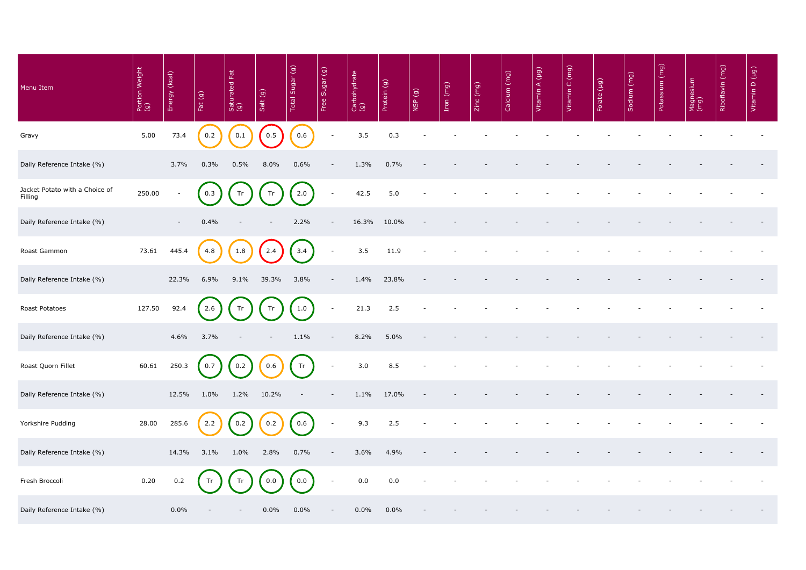| Menu Item                                 | Portion Weight<br>(g) | (kcal)<br>Energy | Fat $(g)$ | Saturated Fat<br>(g) | Salt (g)                 | Total Sugar (g) | Free Sugar (g)           | Carbohydrate<br>(g) | Protein (g) | (6) dSM | Iron (mg) | Zinc (mg) | Calcium (mg) | Vitamin A (µg) | Vitamin C (mg) | Folate (µg) | Sodium (mg) | (mg)<br>Potassium | Magnesium<br>(mg) | Riboflavin (mg) | (br) a<br>Vitamin |
|-------------------------------------------|-----------------------|------------------|-----------|----------------------|--------------------------|-----------------|--------------------------|---------------------|-------------|---------|-----------|-----------|--------------|----------------|----------------|-------------|-------------|-------------------|-------------------|-----------------|-------------------|
| Gravy                                     | 5.00                  | 73.4             | 0.2       | 0.1                  | 0.5                      | 0.6             | $\overline{\phantom{a}}$ | 3.5                 | 0.3         |         |           |           |              |                |                |             |             |                   |                   |                 |                   |
| Daily Reference Intake (%)                |                       | 3.7%             | 0.3%      | 0.5%                 | 8.0%                     | 0.6%            |                          | 1.3%                | 0.7%        |         |           |           |              |                |                |             |             |                   |                   |                 |                   |
| Jacket Potato with a Choice of<br>Filling | 250.00                |                  | 0.3       | Tr                   | Tr                       | 2.0             | $\overline{\phantom{a}}$ | 42.5                | 5.0         |         |           |           |              |                |                |             |             |                   |                   |                 |                   |
| Daily Reference Intake (%)                |                       | $\sim$           | 0.4%      |                      |                          | 2.2%            | $\overline{\phantom{a}}$ | 16.3%               | 10.0%       |         |           |           |              |                |                |             |             |                   |                   |                 |                   |
| Roast Gammon                              | 73.61                 | 445.4            | 4.8       | 1.8                  | 2.4                      | 3.4             | $\overline{\phantom{a}}$ | 3.5                 | 11.9        |         |           |           |              |                |                |             |             |                   |                   |                 |                   |
| Daily Reference Intake (%)                |                       | 22.3%            | 6.9%      | 9.1%                 | 39.3%                    | 3.8%            | $\overline{\phantom{a}}$ | 1.4%                | 23.8%       |         |           |           |              |                |                |             |             |                   |                   |                 |                   |
| Roast Potatoes                            | 127.50                | 92.4             | 2.6       | Tr                   | Tr                       | 1.0             | $\blacksquare$           | 21.3                | 2.5         |         |           |           |              |                |                |             |             |                   |                   |                 |                   |
| Daily Reference Intake (%)                |                       | 4.6%             | 3.7%      | -                    | $\overline{\phantom{a}}$ | 1.1%            | $\overline{\phantom{a}}$ | 8.2%                | 5.0%        |         |           |           |              |                |                |             |             |                   |                   |                 |                   |
| Roast Quorn Fillet                        | 60.61                 | 250.3            | 0.7       | 0.2                  | 0.6                      | Tr              | $\overline{\phantom{a}}$ | 3.0                 | 8.5         |         |           |           |              |                |                |             |             |                   |                   |                 |                   |
| Daily Reference Intake (%)                |                       | 12.5%            | $1.0\%$   | 1.2%                 | 10.2%                    |                 | $\overline{\phantom{a}}$ | 1.1%                | 17.0%       |         |           |           |              |                |                |             |             |                   |                   |                 |                   |
| Yorkshire Pudding                         | 28.00                 | 285.6            | 2.2       | 0.2                  | 0.2                      | 0.6             | $\overline{\phantom{a}}$ | 9.3                 | 2.5         |         |           |           |              |                |                |             |             |                   |                   |                 |                   |
| Daily Reference Intake (%)                |                       | 14.3%            | 3.1%      | $1.0\%$              | 2.8%                     | 0.7%            | $\overline{\phantom{a}}$ | 3.6%                | 4.9%        |         |           |           |              |                |                |             |             |                   |                   |                 |                   |
| Fresh Broccoli                            | 0.20                  | 0.2              |           |                      | 0.0                      | 0.0             | $\overline{\phantom{a}}$ | 0.0                 | 0.0         |         |           |           |              |                |                |             |             |                   |                   |                 |                   |
| Daily Reference Intake (%)                |                       | $0.0\%$          |           |                      | $0.0\%$                  | $0.0\%$         | $\overline{\phantom{a}}$ | $0.0\%$             | $0.0\%$     |         |           |           |              |                |                |             |             |                   |                   |                 |                   |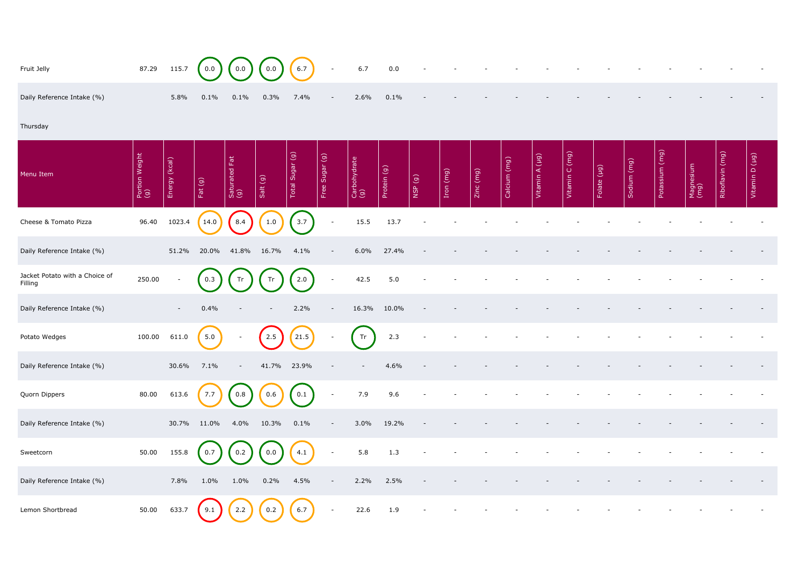| Fruit Jelly                               | 87.29                 | 115.7         | 0.0       | 0.0                     | 0.0      | $6.7\,$         | $\overline{\phantom{a}}$ | 6.7                 | 0.0         |         |           |           |              |                |                |             |             |                |                   |                 |                                |
|-------------------------------------------|-----------------------|---------------|-----------|-------------------------|----------|-----------------|--------------------------|---------------------|-------------|---------|-----------|-----------|--------------|----------------|----------------|-------------|-------------|----------------|-------------------|-----------------|--------------------------------|
| Daily Reference Intake (%)                |                       | 5.8%          | 0.1%      | 0.1%                    | 0.3%     | 7.4%            | $\overline{\phantom{a}}$ | 2.6%                | 0.1%        |         |           |           |              |                |                |             |             |                |                   |                 |                                |
| Thursday                                  |                       |               |           |                         |          |                 |                          |                     |             |         |           |           |              |                |                |             |             |                |                   |                 |                                |
| Menu Item                                 | Portion Weight<br>(g) | Energy (kcal) | Fat $(g)$ | 固<br>Saturated I<br>(g) | Salt (g) | Total Sugar (g) | Free Sugar (g)           | Carbohydrate<br>(g) | Protein (g) | NSP (g) | Iron (mg) | Zinc (mg) | Calcium (mg) | Vitamin A (µg) | Vitamin C (mg) | Folate (µg) | Sodium (mg) | Potassium (mg) | Magnesium<br>(mg) | Riboflavin (mg) | $(\overline{6}n)$<br>Vitamin D |
| Cheese & Tomato Pizza                     | 96.40                 | 1023.4        | 14.0      | 8.4                     | $1.0\,$  | 3.7             | $\overline{\phantom{a}}$ | 15.5                | 13.7        |         |           |           |              |                |                |             |             |                |                   |                 |                                |
| Daily Reference Intake (%)                |                       | 51.2%         | 20.0%     | 41.8%                   | 16.7%    | 4.1%            | $\overline{\phantom{a}}$ | 6.0%                | 27.4%       |         |           |           |              |                |                |             |             |                |                   |                 |                                |
| Jacket Potato with a Choice of<br>Filling | 250.00                |               | 0.3       | Tr                      | Tr       | 2.0             | $\overline{\phantom{a}}$ | 42.5                | 5.0         |         |           |           |              |                |                |             |             |                |                   |                 |                                |
| Daily Reference Intake (%)                |                       |               | 0.4%      |                         |          | 2.2%            |                          | 16.3%               | 10.0%       |         |           |           |              |                |                |             |             |                |                   |                 |                                |
| Potato Wedges                             | 100.00                | 611.0         | 5.0       |                         | 2.5      | 21.5            | $\overline{\phantom{a}}$ | Tr                  | 2.3         |         |           |           |              |                |                |             |             |                |                   |                 |                                |
| Daily Reference Intake (%)                |                       | 30.6%         | 7.1%      |                         | 41.7%    | 23.9%           |                          |                     | 4.6%        |         |           |           |              |                |                |             |             |                |                   |                 |                                |
| Quorn Dippers                             | 80.00                 | 613.6         | 7.7       | 0.8                     | 0.6      | 0.1             | $\overline{\phantom{a}}$ | 7.9                 | 9.6         |         |           |           |              |                |                |             |             |                |                   |                 |                                |
| Daily Reference Intake (%)                |                       | 30.7%         | $11.0\%$  | $4.0\%$                 | 10.3%    | 0.1%            | $\sim$                   | 3.0%                | 19.2%       |         |           |           |              |                |                |             |             |                |                   |                 |                                |
| Sweetcorn                                 | 50.00                 | 155.8         | 0.7       | 0.2                     | 0.0      | 4.1             | $\overline{\phantom{a}}$ | 5.8                 | 1.3         |         |           |           |              |                |                |             |             |                |                   |                 |                                |
| Daily Reference Intake (%)                |                       | 7.8%          | $1.0\%$   | $1.0\%$                 | 0.2%     | 4.5%            | $\overline{\phantom{a}}$ | 2.2%                | 2.5%        |         |           |           |              |                |                |             |             |                |                   |                 |                                |
| Lemon Shortbread                          | 50.00                 | 633.7         | 9.1       | 2.2                     | 0.2      | 6.7             | $\sim$                   | 22.6                | 1.9         |         |           |           |              |                |                |             |             |                |                   |                 |                                |